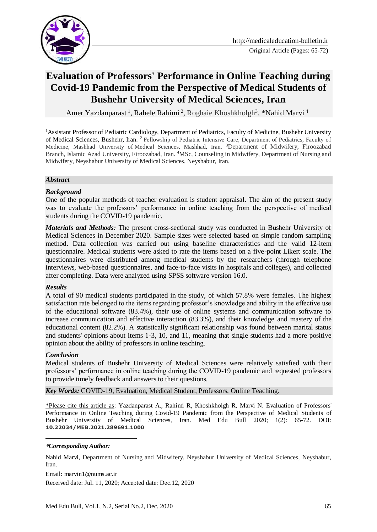

# **Evaluation of Professors' Performance in Online Teaching during Covid-19 Pandemic from the Perspective of Medical Students of Bushehr University of Medical Sciences, Iran**

Amer Yazdanparast<sup>1</sup>, Rahele Rahimi<sup>2</sup>, Roghaie Khoshkholgh<sup>3</sup>, \*Nahid Marvi<sup>4</sup>

<sup>1</sup>Assistant Professor of Pediatric Cardiology, Department of Pediatrics, Faculty of Medicine, Bushehr University of Medical Sciences, Bushehr, Iran. <sup>2</sup> Fellowship of Pediatric Intensive Care, Department of Pediatrics, Faculty of Medicine, Mashhad University of Medical Sciences, Mashhad, Iran. <sup>3</sup>Department of Midwifery, Firoozabad Branch, Islamic Azad University, Firoozabad, Iran. <sup>4</sup>MSc, Counseling in Midwifery, Department of Nursing and Midwifery, Neyshabur University of Medical Sciences, Neyshabur, Iran.

#### *Abstract*

#### *Background*

One of the popular methods of teacher evaluation is student appraisal. The aim of the present study was to evaluate the professors' performance in online teaching from the perspective of medical students during the COVID-19 pandemic.

*Materials and Methods:* The present cross-sectional study was conducted in Bushehr University of Medical Sciences in December 2020. Sample sizes were selected based on simple random sampling method. Data collection was carried out using baseline characteristics and the valid 12-item questionnaire. Medical students were asked to rate the items based on a five-point Likert scale. The questionnaires were distributed among medical students by the researchers (through telephone interviews, web-based questionnaires, and face-to-face visits in hospitals and colleges), and collected after completing. Data were analyzed using SPSS software version 16.0.

#### *Results*

A total of 90 medical students participated in the study, of which 57.8% were females. The highest satisfaction rate belonged to the items regarding professor's knowledge and ability in the effective use of the educational software (83.4%), their use of online systems and communication software to increase communication and effective interaction (83.3%), and their knowledge and mastery of the educational content (82.2%). A statistically significant relationship was found between marital status and students' opinions about items 1-3, 10, and 11, meaning that single students had a more positive opinion about the ability of professors in online teaching.

#### *Conclusion*

<u>.</u>

Medical students of Bushehr University of Medical Sciences were relatively satisfied with their professors' performance in online teaching during the COVID-19 pandemic and requested professors to provide timely feedback and answers to their questions.

*Key Words:* COVID-19, Evaluation, Medical Student, Professors, Online Teaching.

\*Please cite this article as: Yazdanparast A., Rahimi R, Khoshkholgh R, Marvi N. Evaluation of Professors' Performance in Online Teaching during Covid-19 Pandemic from the Perspective of Medical Students of Bushehr University of Medical Sciences, Iran. Med Edu Bull 2020; 1(2): 65-72. DOI: **10.22034/MEB.2021.289691.1000**

#### **\****Corresponding Author:*

Nahid Marvi, Department of Nursing and Midwifery, Neyshabur University of Medical Sciences, Neyshabur, Iran.

Email: marvin1@nums.ac.ir

Received date: Jul. 11, 2020; Accepted date: Dec.12, 2020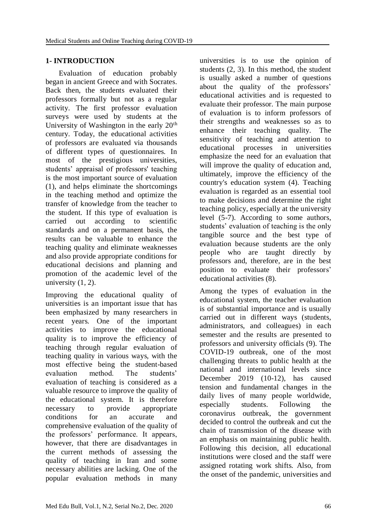# **1- INTRODUCTION**

 Evaluation of education probably began in ancient Greece and with Socrates. Back then, the students evaluated their professors formally but not as a regular activity. The first professor evaluation surveys were used by students at the University of Washington in the early  $20<sup>th</sup>$ century. Today, the educational activities of professors are evaluated via thousands of different types of questionnaires. In most of the prestigious universities, students' appraisal of professors' teaching is the most important source of evaluation (1), and helps eliminate the shortcomings in the teaching method and optimize the transfer of knowledge from the teacher to the student. If this type of evaluation is carried out according to scientific standards and on a permanent basis, the results can be valuable to enhance the teaching quality and eliminate weaknesses and also provide appropriate conditions for educational decisions and planning and promotion of the academic level of the university  $(1, 2)$ .

Improving the educational quality of universities is an important issue that has been emphasized by many researchers in recent years. One of the important activities to improve the educational quality is to improve the efficiency of teaching through regular evaluation of teaching quality in various ways, with the most effective being the student-based evaluation method. The students' evaluation of teaching is considered as a valuable resource to improve the quality of the educational system. It is therefore necessary to provide appropriate conditions for an accurate and comprehensive evaluation of the quality of the professors' performance. It appears, however, that there are disadvantages in the current methods of assessing the quality of teaching in Iran and some necessary abilities are lacking. One of the popular evaluation methods in many

universities is to use the opinion of students (2, 3). In this method, the student is usually asked a number of questions about the quality of the professors' educational activities and is requested to evaluate their professor. The main purpose of evaluation is to inform professors of their strengths and weaknesses so as to enhance their teaching quality. The sensitivity of teaching and attention to educational processes in universities emphasize the need for an evaluation that will improve the quality of education and, ultimately, improve the efficiency of the country's education system (4). Teaching evaluation is regarded as an essential tool to make decisions and determine the right teaching policy, especially at the university level (5-7). According to some authors, students' evaluation of teaching is the only tangible source and the best type of evaluation because students are the only people who are taught directly by professors and, therefore, are in the best position to evaluate their professors' educational activities (8).

Among the types of evaluation in the educational system, the teacher evaluation is of substantial importance and is usually carried out in different ways (students, administrators, and colleagues) in each semester and the results are presented to professors and university officials (9). The COVID-19 outbreak, one of the most challenging threats to public health at the national and international levels since December 2019 (10-12), has caused tension and fundamental changes in the daily lives of many people worldwide, especially students. Following the coronavirus outbreak, the government decided to control the outbreak and cut the chain of transmission of the disease with an emphasis on maintaining public health. Following this decision, all educational institutions were closed and the staff were assigned rotating work shifts. Also, from the onset of the pandemic, universities and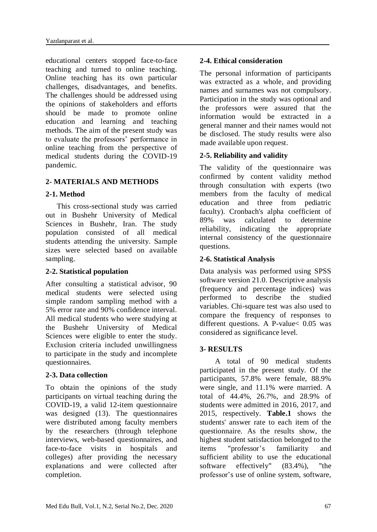educational centers stopped face-to-face teaching and turned to online teaching. Online teaching has its own particular challenges, disadvantages, and benefits. The challenges should be addressed using the opinions of stakeholders and efforts should be made to promote online education and learning and teaching methods. The aim of the present study was to evaluate the professors' performance in online teaching from the perspective of medical students during the COVID-19 pandemic.

# **2- MATERIALS AND METHODS**

# **2-1. Method**

 This cross-sectional study was carried out in Bushehr University of Medical Sciences in Bushehr, Iran. The study population consisted of all medical students attending the university. Sample sizes were selected based on available sampling.

# **2-2. Statistical population**

After consulting a statistical advisor, 90 medical students were selected using simple random sampling method with a 5% error rate and 90% confidence interval. All medical students who were studying at the Bushehr University of Medical Sciences were eligible to enter the study. Exclusion criteria included unwillingness to participate in the study and incomplete questionnaires.

# **2-3. Data collection**

To obtain the opinions of the study participants on virtual teaching during the COVID-19, a valid 12-item questionnaire was designed (13). The questionnaires were distributed among faculty members by the researchers (through telephone interviews, web-based questionnaires, and face-to-face visits in hospitals and colleges) after providing the necessary explanations and were collected after completion.

# **2-4. Ethical consideration**

The personal information of participants was extracted as a whole, and providing names and surnames was not compulsory. Participation in the study was optional and the professors were assured that the information would be extracted in a general manner and their names would not be disclosed. The study results were also made available upon request.

# **2-5. Reliability and validity**

The validity of the questionnaire was confirmed by content validity method through consultation with experts (two members from the faculty of medical education and three from pediatric faculty). Cronbach's alpha coefficient of 89% was calculated to determine reliability, indicating the appropriate internal consistency of the questionnaire questions.

# **2-6. Statistical Analysis**

Data analysis was performed using SPSS software version 21.0. Descriptive analysis (frequency and percentage indices) was performed to describe the studied variables. Chi-square test was also used to compare the frequency of responses to different questions. A P-value< 0.05 was considered as significance level.

# **3- RESULTS**

 A total of 90 medical students participated in the present study. Of the participants, 57.8% were female, 88.9% were single, and 11.1% were married. A total of 44.4%, 26.7%, and 28.9% of students were admitted in 2016, 2017, and 2015, respectively. **Table.1** shows the students' answer rate to each item of the questionnaire. As the results show, the highest student satisfaction belonged to the items "professor's familiarity and sufficient ability to use the educational software effectively" (83.4%), "the professor's use of online system, software,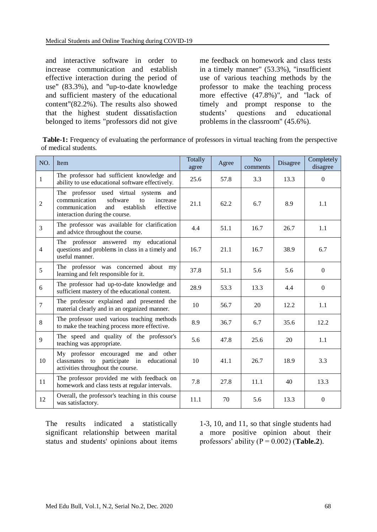and interactive software in order to increase communication and establish effective interaction during the period of use" (83.3%), and "up-to-date knowledge and sufficient mastery of the educational content"(82.2%). The results also showed that the highest student dissatisfaction belonged to items "professors did not give

me feedback on homework and class tests in a timely manner" (53.3%), "insufficient use of various teaching methods by the professor to make the teaching process more effective (47.8%)", and "lack of timely and prompt response to the students' questions and educational problems in the classroom" (45.6%).

| <b>Table-1:</b> Frequency of evaluating the performance of professors in virtual teaching from the perspective |  |  |  |
|----------------------------------------------------------------------------------------------------------------|--|--|--|
| of medical students.                                                                                           |  |  |  |

| NO.            | Item                                                                                                                                                                      | Totally<br>agree | Agree | N <sub>o</sub><br>comments | Disagree | Completely<br>disagree |
|----------------|---------------------------------------------------------------------------------------------------------------------------------------------------------------------------|------------------|-------|----------------------------|----------|------------------------|
| 1              | The professor had sufficient knowledge and<br>ability to use educational software effectively.                                                                            | 25.6             | 57.8  | 3.3                        | 13.3     | $\boldsymbol{0}$       |
| $\overline{2}$ | The professor used virtual systems and<br>software<br>communication<br>to<br>increase<br>communication<br>and<br>establish<br>effective<br>interaction during the course. | 21.1             | 62.2  | 6.7                        | 8.9      | 1.1                    |
| $\overline{3}$ | The professor was available for clarification<br>and advice throughout the course.                                                                                        | 4.4              | 51.1  | 16.7                       | 26.7     | 1.1                    |
| $\overline{4}$ | The professor answered my educational<br>questions and problems in class in a timely and<br>useful manner.                                                                | 16.7             | 21.1  | 16.7                       | 38.9     | 6.7                    |
| 5              | The professor was concerned<br>about my<br>learning and felt responsible for it.                                                                                          | 37.8             | 51.1  | 5.6                        | 5.6      | $\mathbf{0}$           |
| 6              | The professor had up-to-date knowledge and<br>sufficient mastery of the educational content.                                                                              | 28.9             | 53.3  | 13.3                       | 4.4      | $\mathbf{0}$           |
| $\overline{7}$ | The professor explained and presented the<br>material clearly and in an organized manner.                                                                                 | 10               | 56.7  | 20                         | 12.2     | 1.1                    |
| 8              | The professor used various teaching methods<br>to make the teaching process more effective.                                                                               | 8.9              | 36.7  | 6.7                        | 35.6     | 12.2                   |
| 9              | The speed and quality of the professor's<br>teaching was appropriate.                                                                                                     | 5.6              | 47.8  | 25.6                       | 20       | 1.1                    |
| 10             | My professor encouraged me and other<br>classmates to participate<br>in<br>educational<br>activities throughout the course.                                               | 10               | 41.1  | 26.7                       | 18.9     | 3.3                    |
| 11             | The professor provided me with feedback on<br>homework and class tests at regular intervals.                                                                              | 7.8              | 27.8  | 11.1                       | 40       | 13.3                   |
| 12             | Overall, the professor's teaching in this course<br>was satisfactory.                                                                                                     | 11.1             | 70    | 5.6                        | 13.3     | $\mathbf{0}$           |

The results indicated a statistically significant relationship between marital status and students' opinions about items

1-3, 10, and 11, so that single students had a more positive opinion about their professors' ability  $(P = 0.002)$  (**Table.2**).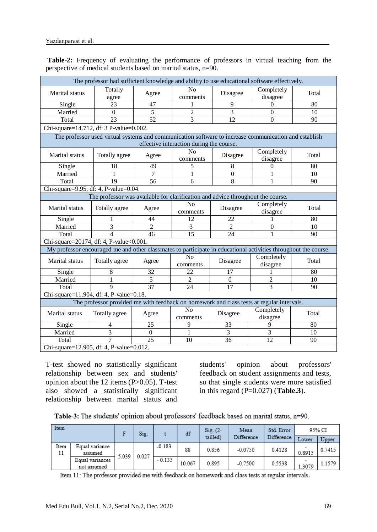| The professor had sufficient knowledge and ability to use educational software effectively.                     |                                          |                |                                          |                                    |                        |       |  |  |  |
|-----------------------------------------------------------------------------------------------------------------|------------------------------------------|----------------|------------------------------------------|------------------------------------|------------------------|-------|--|--|--|
| Marital status                                                                                                  | Totally<br>agree                         | Agree          | N <sub>o</sub><br>Disagree<br>comments   |                                    | Completely<br>disagree | Total |  |  |  |
| Single                                                                                                          | 23                                       | 47             | 1                                        | 9                                  | $\Omega$               | 80    |  |  |  |
| Married                                                                                                         | $\Omega$                                 | 5              | $\overline{2}$                           | 3                                  | $\Omega$               | 10    |  |  |  |
| Total                                                                                                           | 23                                       | 52             | $\overline{3}$                           | 12                                 | $\mathbf{0}$           | 90    |  |  |  |
| Chi-square=14.712, df: 3 P-value=0.002.                                                                         |                                          |                |                                          |                                    |                        |       |  |  |  |
| The professor used virtual systems and communication software to increase communication and establish           |                                          |                |                                          |                                    |                        |       |  |  |  |
|                                                                                                                 |                                          |                | effective interaction during the course. |                                    |                        |       |  |  |  |
| Marital status                                                                                                  | Totally agree                            | Agree          | N <sub>0</sub><br>comments               | Disagree                           | Completely<br>disagree | Total |  |  |  |
| Single                                                                                                          | 18                                       | 49             | 5                                        | 8                                  | $\mathbf{0}$           | 80    |  |  |  |
| Married                                                                                                         | $\mathbf{1}$                             | $\overline{7}$ | $\mathbf{1}$                             | $\mathbf{0}$                       | 1                      | 10    |  |  |  |
| Total                                                                                                           | 19                                       | 56             | 6                                        | 8                                  | 1                      | 90    |  |  |  |
| Chi-square=9.95, df: 4, P-value=0.04.                                                                           |                                          |                |                                          |                                    |                        |       |  |  |  |
| The professor was available for clarification and advice throughout the course.                                 |                                          |                |                                          |                                    |                        |       |  |  |  |
| Marital status                                                                                                  | Totally agree                            | Agree          | N <sub>o</sub><br>comments               | Disagree                           | Completely<br>disagree | Total |  |  |  |
| Single                                                                                                          |                                          | 44             | 12                                       | 22                                 |                        | 80    |  |  |  |
| Married                                                                                                         | 3                                        | $\overline{2}$ | 3                                        | 2                                  | $\overline{0}$         | 10    |  |  |  |
| Total                                                                                                           | $\overline{\mathcal{L}}$                 | 46             | 15                                       | 24                                 | $\mathbf{1}$           | 90    |  |  |  |
| Chi-square=20174, df: 4, P-value<0.001.                                                                         |                                          |                |                                          |                                    |                        |       |  |  |  |
| My professor encouraged me and other classmates to participate in educational activities throughout the course. |                                          |                |                                          |                                    |                        |       |  |  |  |
| Marital status                                                                                                  | Totally agree                            | Agree          | N <sub>o</sub><br>comments               | Completely<br>Disagree<br>disagree |                        | Total |  |  |  |
| Single                                                                                                          | 8                                        | 32             | 22                                       | 17                                 | 1                      | 80    |  |  |  |
| Married                                                                                                         | 1                                        | 5              | $\overline{2}$                           | $\boldsymbol{0}$                   | 2                      | 10    |  |  |  |
| Total                                                                                                           | 9                                        | 37             | 24                                       | 17                                 | 3                      | 90    |  |  |  |
| Chi-square=11.904, df: 4, P-value=0.18.                                                                         |                                          |                |                                          |                                    |                        |       |  |  |  |
| The professor provided me with feedback on homework and class tests at regular intervals.                       |                                          |                |                                          |                                    |                        |       |  |  |  |
| <b>Marital</b> status                                                                                           | Totally agree                            | Agree          | N <sub>o</sub><br>comments               | Disagree                           | Completely<br>disagree | Total |  |  |  |
| Single                                                                                                          | 4                                        | 25             | 9                                        | 33                                 | 9                      | 80    |  |  |  |
| Married                                                                                                         | 3                                        | $\Omega$       | 1                                        | 3                                  | 3                      | 10    |  |  |  |
| Total                                                                                                           | $\overline{7}$                           | 25             | 10                                       | 36                                 | 12                     | 90    |  |  |  |
|                                                                                                                 | Chi-square=12.905, df: 4, P-value=0.012. |                |                                          |                                    |                        |       |  |  |  |

**Table-2:** Frequency of evaluating the performance of professors in virtual teaching from the perspective of medical students based on marital status, n=90.

T-test showed no statistically significant relationship between sex and students'

opinion about the 12 items (P>0.05). T-test also showed a statistically significant relationship between marital status and students' opinion about professors' feedback on student assignments and tests, so that single students were more satisfied in this regard (P=0.027) (**Table.3**).

Table-3: The students' opinion about professors' feedback based on marital status, n=90.

| Item       |                                |                | Sig. |          | df     | $Sig. (2 -$ | Mean       | Std. Error | 95% CI |        |
|------------|--------------------------------|----------------|------|----------|--------|-------------|------------|------------|--------|--------|
|            |                                |                |      |          |        | tailled)    | Difference | Difference | Lower  | Upper  |
| Item<br>11 | Equal variance<br>assumed      | 0.027<br>5.039 |      | $-0.183$ | 88     | 0.856       | $-0.0750$  | 0.4128     | 0.8915 | 0.7415 |
|            | Equal variances<br>not assumed |                |      | $-0.135$ | 10.067 | 0.895       | $-0.7500$  | 0.5538     | 1.3079 | 1.1579 |

Item 11: The professor provided me with feedback on homework and class tests at regular intervals.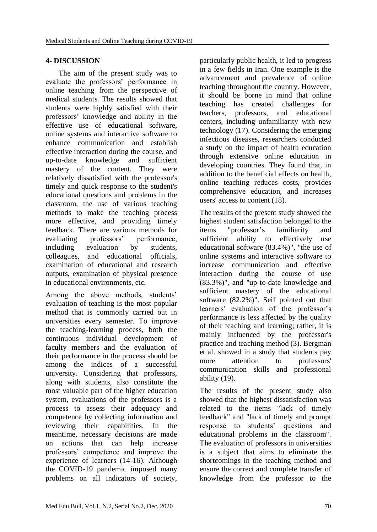### **4- DISCUSSION**

 The aim of the present study was to evaluate the professors' performance in online teaching from the perspective of medical students. The results showed that students were highly satisfied with their professors' knowledge and ability in the effective use of educational software, online systems and interactive software to enhance communication and establish effective interaction during the course, and up-to-date knowledge and sufficient mastery of the content. They were relatively dissatisfied with the professor's timely and quick response to the student's educational questions and problems in the classroom, the use of various teaching methods to make the teaching process more effective, and providing timely feedback. There are various methods for evaluating professors' performance, including evaluation by students, colleagues, and educational officials, examination of educational and research outputs, examination of physical presence in educational environments, etc.

Among the above methods, students' evaluation of teaching is the most popular method that is commonly carried out in universities every semester. To improve the teaching-learning process, both the continuous individual development of faculty members and the evaluation of their performance in the process should be among the indices of a successful university. Considering that professors, along with students, also constitute the most valuable part of the higher education system, evaluations of the professors is a process to assess their adequacy and competence by collecting information and reviewing their capabilities. In the meantime, necessary decisions are made on actions that can help increase professors' competence and improve the experience of learners (14-16). Although the COVID-19 pandemic imposed many problems on all indicators of society, particularly public health, it led to progress in a few fields in Iran. One example is the advancement and prevalence of online teaching throughout the country. However, it should be borne in mind that online teaching has created challenges for teachers, professors, and educational centers, including unfamiliarity with new technology (17). Considering the emerging infectious diseases, researchers conducted a study on the impact of health education through extensive online education in developing countries. They found that, in addition to the beneficial effects on health, online teaching reduces costs, provides comprehensive education, and increases users' access to content (18).

The results of the present study showed the highest student satisfaction belonged to the items "professor's familiarity and sufficient ability to effectively use educational software (83.4%)", "the use of online systems and interactive software to increase communication and effective interaction during the course of use (83.3%)", and "up-to-date knowledge and sufficient mastery of the educational software (82.2%)". Seif pointed out that learners' evaluation of the professor's performance is less affected by the quality of their teaching and learning; rather, it is mainly influenced by the professor's practice and teaching method (3). Bergman et al. showed in a study that students pay more attention to professors' communication skills and professional ability (19).

The results of the present study also showed that the highest dissatisfaction was related to the items "lack of timely feedback" and "lack of timely and prompt response to students' questions and educational problems in the classroom". The evaluation of professors in universities is a subject that aims to eliminate the shortcomings in the teaching method and ensure the correct and complete transfer of knowledge from the professor to the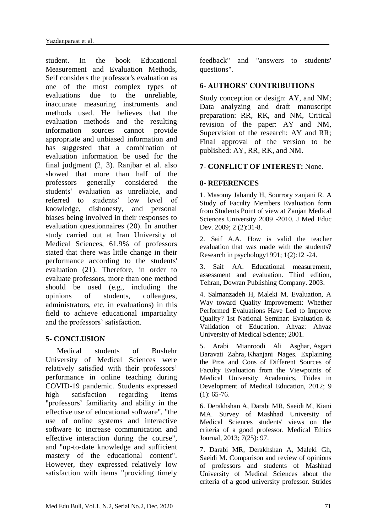student. In the book Educational Measurement and Evaluation Methods, Seif considers the professor's evaluation as one of the most complex types of evaluations due to the unreliable, inaccurate measuring instruments and methods used. He believes that the evaluation methods and the resulting information sources cannot provide appropriate and unbiased information and has suggested that a combination of evaluation information be used for the final judgment (2, 3). Ranjbar et al. also showed that more than half of the professors generally considered the students' evaluation as unreliable, and referred to students' low level of knowledge, dishonesty, and personal biases being involved in their responses to evaluation questionnaires (20). In another study carried out at Iran University of Medical Sciences, 61.9% of professors stated that there was little change in their performance according to the students' evaluation (21). Therefore, in order to evaluate professors, more than one method should be used (e.g., including the opinions of students, colleagues, administrators, etc. in evaluations) in this field to achieve educational impartiality and the professors' satisfaction.

#### **5- CONCLUSION**

 Medical students of Bushehr University of Medical Sciences were relatively satisfied with their professors' performance in online teaching during COVID-19 pandemic. Students expressed high satisfaction regarding items "professors' familiarity and ability in the effective use of educational software", "the use of online systems and interactive software to increase communication and effective interaction during the course", and "up-to-date knowledge and sufficient mastery of the educational content". However, they expressed relatively low satisfaction with items "providing timely feedback" and "answers to students' questions".

#### **6- AUTHORS' CONTRIBUTIONS**

Study conception or design: AY, and NM; Data analyzing and draft manuscript preparation: RR, RK, and NM, Critical revision of the paper: AY and NM, Supervision of the research: AY and RR; Final approval of the version to be published: AY, RR, RK, and NM.

### **7- CONFLICT OF INTEREST:** None.

#### **8- REFERENCES**

1. Masomy Jahandy H, Sourrory zanjani R. A Study of Faculty Members Evaluation form from Students Point of view at Zanjan Medical Sciences University 2009 -2010. J Med Educ Dev. 2009; 2 (2):31-8.

2. Saif A.A. How is valid the teacher evaluation that was made with the students? Research in psychology1991; 1(2):12 -24.

3. Saif AA. Educational measurement, assessment and evaluation. Third edition, Tehran, Dowran Publishing Company. 2003.

4. Salmanzadeh H, Maleki M. Evaluation, A Way toward Quality Improvement: Whether Performed Evaluations Have Led to Improve Quality? 1st National Seminar: Evaluation & Validation of Education. Ahvaz: Ahvaz University of Medical Science; 2001.

5. [Arabi Mianroodi Ali Asghar,](https://www.sid.ir/en/journal/SearchPaper.aspx?writer=371780) [Asgari](https://www.sid.ir/en/journal/SearchPaper.aspx?writer=371783)  [Baravati Zahra,](https://www.sid.ir/en/journal/SearchPaper.aspx?writer=371783) [Khanjani Nages.](https://www.sid.ir/en/journal/SearchPaper.aspx?writer=371787) Explaining the Pros and Cons of Different Sources of Faculty Evaluation from the Viewpoints of Medical University Academics. [Trides in](https://www.sid.ir/FA/JOURNAL/JournalList.aspx?ID=2648)  [Development of Medical Education,](https://www.sid.ir/FA/JOURNAL/JournalList.aspx?ID=2648) 2012; 9  $(1): 65-76.$ 

6. Derakhshan A, Darabi MR, Saeidi M, Kiani MA. Survey of Mashhad University of Medical Sciences students' views on the criteria of a good professor. Medical Ethics Journal, 2013; 7(25): 97.

7. Darabi MR, Derakhshan A, Maleki Gh, Saeidi M. Comparison and review of opinions of professors and students of Mashhad University of Medical Sciences about the criteria of a good university professor. Strides